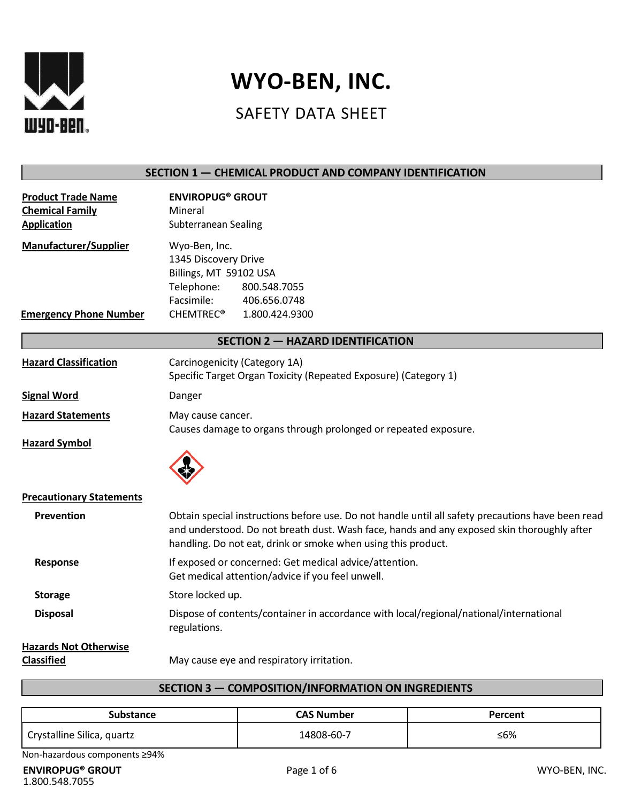

# **WYO-BEN, INC.**

# SAFETY DATA SHEET

| SECTION 1 - CHEMICAL PRODUCT AND COMPANY IDENTIFICATION                   |                                                                                                                                                                                                                                                                  |
|---------------------------------------------------------------------------|------------------------------------------------------------------------------------------------------------------------------------------------------------------------------------------------------------------------------------------------------------------|
| <b>Product Trade Name</b><br><b>Chemical Family</b><br><b>Application</b> | <b>ENVIROPUG® GROUT</b><br>Mineral<br>Subterranean Sealing                                                                                                                                                                                                       |
| <b>Manufacturer/Supplier</b><br><b>Emergency Phone Number</b>             | Wyo-Ben, Inc.<br>1345 Discovery Drive<br>Billings, MT 59102 USA<br>Telephone:<br>800.548.7055<br>Facsimile:<br>406.656.0748<br><b>CHEMTREC®</b><br>1.800.424.9300                                                                                                |
|                                                                           | <b>SECTION 2 - HAZARD IDENTIFICATION</b>                                                                                                                                                                                                                         |
| <b>Hazard Classification</b>                                              | Carcinogenicity (Category 1A)<br>Specific Target Organ Toxicity (Repeated Exposure) (Category 1)                                                                                                                                                                 |
| <b>Signal Word</b>                                                        | Danger                                                                                                                                                                                                                                                           |
| <b>Hazard Statements</b>                                                  | May cause cancer.<br>Causes damage to organs through prolonged or repeated exposure.                                                                                                                                                                             |
| <b>Hazard Symbol</b>                                                      |                                                                                                                                                                                                                                                                  |
| <b>Precautionary Statements</b>                                           |                                                                                                                                                                                                                                                                  |
| Prevention                                                                | Obtain special instructions before use. Do not handle until all safety precautions have been read<br>and understood. Do not breath dust. Wash face, hands and any exposed skin thoroughly after<br>handling. Do not eat, drink or smoke when using this product. |
| Response                                                                  | If exposed or concerned: Get medical advice/attention.<br>Get medical attention/advice if you feel unwell.                                                                                                                                                       |
| <b>Storage</b>                                                            | Store locked up.                                                                                                                                                                                                                                                 |
| <b>Disposal</b>                                                           | Dispose of contents/container in accordance with local/regional/national/international<br>regulations.                                                                                                                                                           |
| <b>Hazards Not Otherwise</b><br><b>Classified</b>                         | May cause eye and respiratory irritation.                                                                                                                                                                                                                        |

# **SECTION 3 — COMPOSITION/INFORMATION ON INGREDIENTS**

| Substance                  | CAS Number | Percent |
|----------------------------|------------|---------|
| Crystalline Silica, quartz | 14808-60-7 | ≤6%     |

Non-hazardous components ≥94%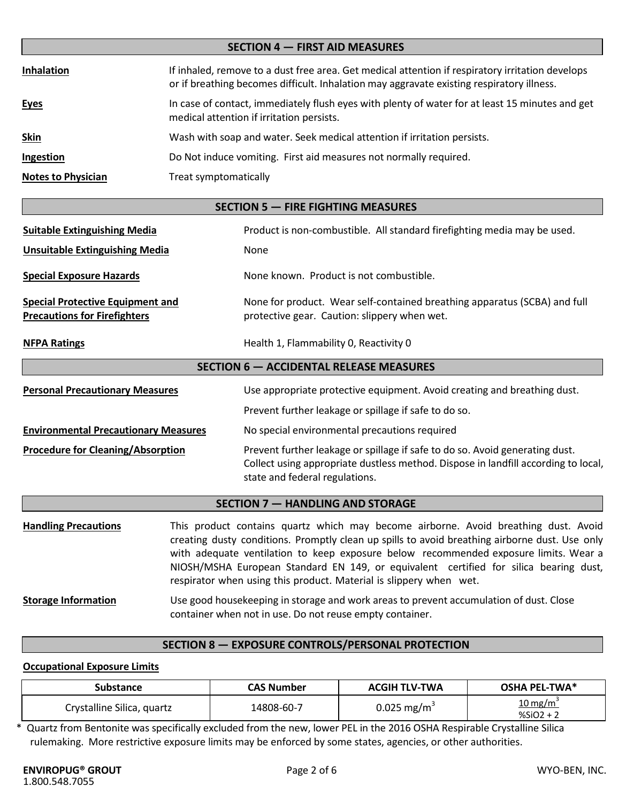| <b>SECTION 4 - FIRST AID MEASURES</b> |                                                                                                                                                                                               |  |
|---------------------------------------|-----------------------------------------------------------------------------------------------------------------------------------------------------------------------------------------------|--|
| <b>Inhalation</b>                     | If inhaled, remove to a dust free area. Get medical attention if respiratory irritation develops<br>or if breathing becomes difficult. Inhalation may aggravate existing respiratory illness. |  |
| <b>Eyes</b>                           | In case of contact, immediately flush eyes with plenty of water for at least 15 minutes and get<br>medical attention if irritation persists.                                                  |  |
| <u>Skin</u>                           | Wash with soap and water. Seek medical attention if irritation persists.                                                                                                                      |  |
| Ingestion                             | Do Not induce vomiting. First aid measures not normally required.                                                                                                                             |  |
| <b>Notes to Physician</b>             | Treat symptomatically                                                                                                                                                                         |  |

# **SECTION 5 — FIRE FIGHTING MEASURES**

| <b>Suitable Extinguishing Media</b>                                            | Product is non-combustible. All standard firefighting media may be used.                                                                                                                             |  |
|--------------------------------------------------------------------------------|------------------------------------------------------------------------------------------------------------------------------------------------------------------------------------------------------|--|
| <b>Unsuitable Extinguishing Media</b>                                          | None                                                                                                                                                                                                 |  |
| <b>Special Exposure Hazards</b>                                                | None known. Product is not combustible.                                                                                                                                                              |  |
| <b>Special Protective Equipment and</b><br><b>Precautions for Firefighters</b> | None for product. Wear self-contained breathing apparatus (SCBA) and full<br>protective gear. Caution: slippery when wet.                                                                            |  |
| <b>NFPA Ratings</b>                                                            | Health 1, Flammability 0, Reactivity 0                                                                                                                                                               |  |
| <b>SECTION 6 - ACCIDENTAL RELEASE MEASURES</b>                                 |                                                                                                                                                                                                      |  |
| <b>Personal Precautionary Measures</b>                                         | Use appropriate protective equipment. Avoid creating and breathing dust.                                                                                                                             |  |
|                                                                                | Prevent further leakage or spillage if safe to do so.                                                                                                                                                |  |
| <b>Environmental Precautionary Measures</b>                                    | No special environmental precautions required                                                                                                                                                        |  |
| <b>Procedure for Cleaning/Absorption</b>                                       | Prevent further leakage or spillage if safe to do so. Avoid generating dust.<br>Collect using appropriate dustless method. Dispose in landfill according to local,<br>state and federal regulations. |  |

# **SECTION 7 — HANDLING AND STORAGE**

| <b>Handling Precautions</b> | This product contains quartz which may become airborne. Avoid breathing dust. Avoid                                                                                                                                                                                                                                                                   |
|-----------------------------|-------------------------------------------------------------------------------------------------------------------------------------------------------------------------------------------------------------------------------------------------------------------------------------------------------------------------------------------------------|
|                             | creating dusty conditions. Promptly clean up spills to avoid breathing airborne dust. Use only<br>with adequate ventilation to keep exposure below recommended exposure limits. Wear a<br>NIOSH/MSHA European Standard EN 149, or equivalent certified for silica bearing dust,<br>respirator when using this product. Material is slippery when wet. |
| <b>Storage Information</b>  | Use good housekeeping in storage and work areas to prevent accumulation of dust. Close<br>container when not in use. Do not reuse empty container.                                                                                                                                                                                                    |

# **SECTION 8 — EXPOSURE CONTROLS/PERSONAL PROTECTION**

# **Occupational Exposure Limits**

| Substance                  | <b>CAS Number</b> | <b>ACGIH TLV-TWA</b>    | <b>OSHA PEL-TWA*</b>                         |
|----------------------------|-------------------|-------------------------|----------------------------------------------|
| Crystalline Silica, quartz | 14808-60-7        | 0.025 mg/m <sup>3</sup> | $\frac{10 \text{ mg/m}^3}{2}$<br>$%SiO2 + 2$ |

\* Quartz from Bentonite was specifically excluded from the new, lower PEL in the 2016 OSHA Respirable Crystalline Silica rulemaking. More restrictive exposure limits may be enforced by some states, agencies, or other authorities.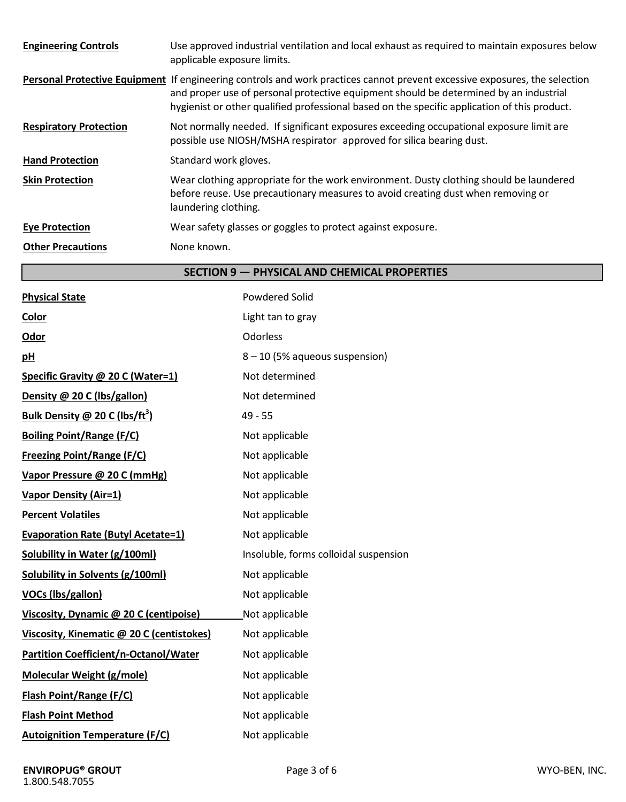| <b>Engineering Controls</b>   | Use approved industrial ventilation and local exhaust as required to maintain exposures below<br>applicable exposure limits.                                                                                                                                                                                        |
|-------------------------------|---------------------------------------------------------------------------------------------------------------------------------------------------------------------------------------------------------------------------------------------------------------------------------------------------------------------|
|                               | Personal Protective Equipment If engineering controls and work practices cannot prevent excessive exposures, the selection<br>and proper use of personal protective equipment should be determined by an industrial<br>hygienist or other qualified professional based on the specific application of this product. |
| <b>Respiratory Protection</b> | Not normally needed. If significant exposures exceeding occupational exposure limit are<br>possible use NIOSH/MSHA respirator approved for silica bearing dust.                                                                                                                                                     |
| <b>Hand Protection</b>        | Standard work gloves.                                                                                                                                                                                                                                                                                               |
| <b>Skin Protection</b>        | Wear clothing appropriate for the work environment. Dusty clothing should be laundered<br>before reuse. Use precautionary measures to avoid creating dust when removing or<br>laundering clothing.                                                                                                                  |
| <b>Eye Protection</b>         | Wear safety glasses or goggles to protect against exposure.                                                                                                                                                                                                                                                         |
| <b>Other Precautions</b>      | None known.                                                                                                                                                                                                                                                                                                         |

# **SECTION 9 — PHYSICAL AND CHEMICAL PROPERTIES**

| <b>Physical State</b>                        | <b>Powdered Solid</b>                 |
|----------------------------------------------|---------------------------------------|
| Color                                        | Light tan to gray                     |
| Odor                                         | Odorless                              |
| pH                                           | 8 - 10 (5% aqueous suspension)        |
| Specific Gravity @ 20 C (Water=1)            | Not determined                        |
| Density @ 20 C (lbs/gallon)                  | Not determined                        |
| Bulk Density @ 20 C (lbs/ft <sup>3</sup> )   | $49 - 55$                             |
| <b>Boiling Point/Range (F/C)</b>             | Not applicable                        |
| <b>Freezing Point/Range (F/C)</b>            | Not applicable                        |
| Vapor Pressure @ 20 C (mmHg)                 | Not applicable                        |
| <b>Vapor Density (Air=1)</b>                 | Not applicable                        |
| <b>Percent Volatiles</b>                     | Not applicable                        |
| <b>Evaporation Rate (Butyl Acetate=1)</b>    | Not applicable                        |
| <b>Solubility in Water (g/100ml)</b>         | Insoluble, forms colloidal suspension |
| <b>Solubility in Solvents (g/100ml)</b>      | Not applicable                        |
| <b>VOCs (lbs/gallon)</b>                     | Not applicable                        |
| Viscosity, Dynamic @ 20 C (centipoise)       | Not applicable                        |
| Viscosity, Kinematic @ 20 C (centistokes)    | Not applicable                        |
| <b>Partition Coefficient/n-Octanol/Water</b> | Not applicable                        |
| <b>Molecular Weight (g/mole)</b>             | Not applicable                        |
| <b>Flash Point/Range (F/C)</b>               | Not applicable                        |
| <b>Flash Point Method</b>                    | Not applicable                        |
| <b>Autoignition Temperature (F/C)</b>        | Not applicable                        |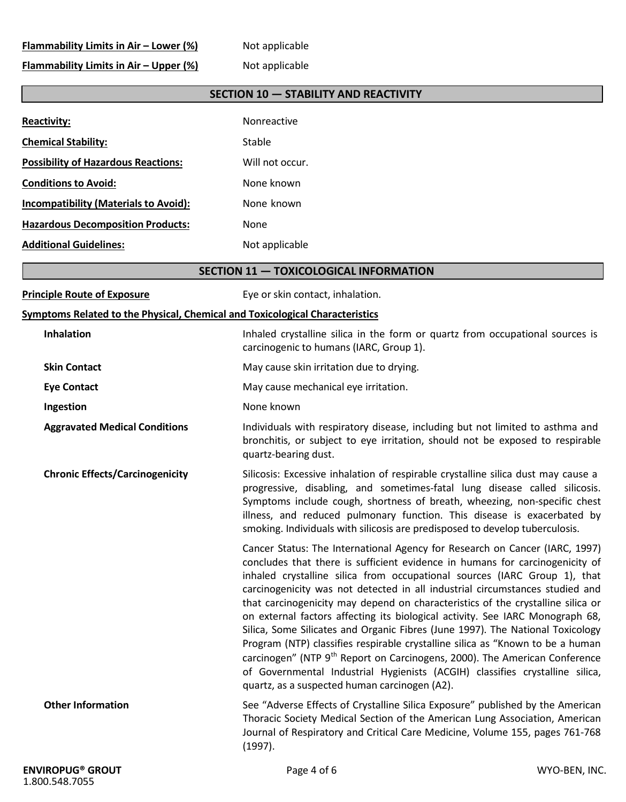# **Flammability Limits in Air – Lower (%)** Not applicable

**Flammability Limits in Air – Upper (%)** Not applicable

# **SECTION 10 — STABILITY AND REACTIVITY**

| <b>Reactivity:</b>                                                                  | Nonreactive                                                                                                                                                                                                                                                                                                                                                                                                                                                                                                                                                                                                                                                                                                                                                                                                                                                                                 |
|-------------------------------------------------------------------------------------|---------------------------------------------------------------------------------------------------------------------------------------------------------------------------------------------------------------------------------------------------------------------------------------------------------------------------------------------------------------------------------------------------------------------------------------------------------------------------------------------------------------------------------------------------------------------------------------------------------------------------------------------------------------------------------------------------------------------------------------------------------------------------------------------------------------------------------------------------------------------------------------------|
| <b>Chemical Stability:</b>                                                          | Stable                                                                                                                                                                                                                                                                                                                                                                                                                                                                                                                                                                                                                                                                                                                                                                                                                                                                                      |
| <b>Possibility of Hazardous Reactions:</b>                                          | Will not occur.                                                                                                                                                                                                                                                                                                                                                                                                                                                                                                                                                                                                                                                                                                                                                                                                                                                                             |
| <b>Conditions to Avoid:</b>                                                         | None known                                                                                                                                                                                                                                                                                                                                                                                                                                                                                                                                                                                                                                                                                                                                                                                                                                                                                  |
| <b>Incompatibility (Materials to Avoid):</b>                                        | None known                                                                                                                                                                                                                                                                                                                                                                                                                                                                                                                                                                                                                                                                                                                                                                                                                                                                                  |
| <b>Hazardous Decomposition Products:</b>                                            | None                                                                                                                                                                                                                                                                                                                                                                                                                                                                                                                                                                                                                                                                                                                                                                                                                                                                                        |
| <b>Additional Guidelines:</b>                                                       | Not applicable                                                                                                                                                                                                                                                                                                                                                                                                                                                                                                                                                                                                                                                                                                                                                                                                                                                                              |
|                                                                                     | <b>SECTION 11 - TOXICOLOGICAL INFORMATION</b>                                                                                                                                                                                                                                                                                                                                                                                                                                                                                                                                                                                                                                                                                                                                                                                                                                               |
| <b>Principle Route of Exposure</b>                                                  | Eye or skin contact, inhalation.                                                                                                                                                                                                                                                                                                                                                                                                                                                                                                                                                                                                                                                                                                                                                                                                                                                            |
| <b>Symptoms Related to the Physical, Chemical and Toxicological Characteristics</b> |                                                                                                                                                                                                                                                                                                                                                                                                                                                                                                                                                                                                                                                                                                                                                                                                                                                                                             |
| Inhalation                                                                          | Inhaled crystalline silica in the form or quartz from occupational sources is<br>carcinogenic to humans (IARC, Group 1).                                                                                                                                                                                                                                                                                                                                                                                                                                                                                                                                                                                                                                                                                                                                                                    |
| <b>Skin Contact</b>                                                                 | May cause skin irritation due to drying.                                                                                                                                                                                                                                                                                                                                                                                                                                                                                                                                                                                                                                                                                                                                                                                                                                                    |
| <b>Eye Contact</b>                                                                  | May cause mechanical eye irritation.                                                                                                                                                                                                                                                                                                                                                                                                                                                                                                                                                                                                                                                                                                                                                                                                                                                        |
| Ingestion                                                                           | None known                                                                                                                                                                                                                                                                                                                                                                                                                                                                                                                                                                                                                                                                                                                                                                                                                                                                                  |
| <b>Aggravated Medical Conditions</b>                                                | Individuals with respiratory disease, including but not limited to asthma and<br>bronchitis, or subject to eye irritation, should not be exposed to respirable<br>quartz-bearing dust.                                                                                                                                                                                                                                                                                                                                                                                                                                                                                                                                                                                                                                                                                                      |
| <b>Chronic Effects/Carcinogenicity</b>                                              | Silicosis: Excessive inhalation of respirable crystalline silica dust may cause a<br>progressive, disabling, and sometimes-fatal lung disease called silicosis.<br>Symptoms include cough, shortness of breath, wheezing, non-specific chest<br>illness, and reduced pulmonary function. This disease is exacerbated by<br>smoking. Individuals with silicosis are predisposed to develop tuberculosis.                                                                                                                                                                                                                                                                                                                                                                                                                                                                                     |
|                                                                                     | Cancer Status: The International Agency for Research on Cancer (IARC, 1997)<br>concludes that there is sufficient evidence in humans for carcinogenicity of<br>inhaled crystalline silica from occupational sources (IARC Group 1), that<br>carcinogenicity was not detected in all industrial circumstances studied and<br>that carcinogenicity may depend on characteristics of the crystalline silica or<br>on external factors affecting its biological activity. See IARC Monograph 68,<br>Silica, Some Silicates and Organic Fibres (June 1997). The National Toxicology<br>Program (NTP) classifies respirable crystalline silica as "Known to be a human<br>carcinogen" (NTP 9 <sup>th</sup> Report on Carcinogens, 2000). The American Conference<br>of Governmental Industrial Hygienists (ACGIH) classifies crystalline silica,<br>quartz, as a suspected human carcinogen (A2). |
| <b>Other Information</b>                                                            | See "Adverse Effects of Crystalline Silica Exposure" published by the American<br>Thoracic Society Medical Section of the American Lung Association, American<br>Journal of Respiratory and Critical Care Medicine, Volume 155, pages 761-768<br>(1997).                                                                                                                                                                                                                                                                                                                                                                                                                                                                                                                                                                                                                                    |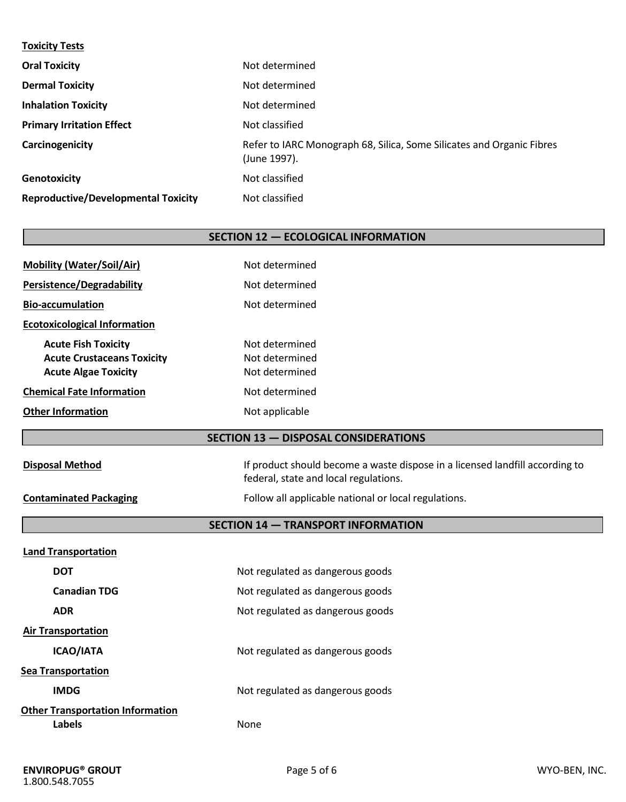#### **Toxicity Tests**

| <b>Oral Toxicity</b>                       | Not determined                                                                        |
|--------------------------------------------|---------------------------------------------------------------------------------------|
| <b>Dermal Toxicity</b>                     | Not determined                                                                        |
| <b>Inhalation Toxicity</b>                 | Not determined                                                                        |
| <b>Primary Irritation Effect</b>           | Not classified                                                                        |
| Carcinogenicity                            | Refer to IARC Monograph 68, Silica, Some Silicates and Organic Fibres<br>(June 1997). |
| <b>Genotoxicity</b>                        | Not classified                                                                        |
| <b>Reproductive/Developmental Toxicity</b> | Not classified                                                                        |

# **SECTION 12 — ECOLOGICAL INFORMATION**

| <b>Mobility (Water/Soil/Air)</b>    | Not determined |
|-------------------------------------|----------------|
| <b>Persistence/Degradability</b>    | Not determined |
| <b>Bio-accumulation</b>             | Not determined |
| <b>Ecotoxicological Information</b> |                |
| <b>Acute Fish Toxicity</b>          | Not determined |
| <b>Acute Crustaceans Toxicity</b>   | Not determined |
| <b>Acute Algae Toxicity</b>         | Not determined |
| <b>Chemical Fate Information</b>    | Not determined |
| <b>Other Information</b>            | Not applicable |

# **SECTION 13 — DISPOSAL CONSIDERATIONS**

**SECTION 14 — TRANSPORT INFORMATION**

| If product should become a waste dispose in a licensed landfill according to |
|------------------------------------------------------------------------------|
| federal, state and local regulations.                                        |

**Contaminated Packaging** Follow all applicable national or local regulations.

**Disposal Method** 

| <b>Land Transportation</b>                        |                                  |  |
|---------------------------------------------------|----------------------------------|--|
| <b>DOT</b>                                        | Not regulated as dangerous goods |  |
| <b>Canadian TDG</b>                               | Not regulated as dangerous goods |  |
| <b>ADR</b>                                        | Not regulated as dangerous goods |  |
| <b>Air Transportation</b>                         |                                  |  |
| <b>ICAO/IATA</b>                                  | Not regulated as dangerous goods |  |
| <b>Sea Transportation</b>                         |                                  |  |
| <b>IMDG</b>                                       | Not regulated as dangerous goods |  |
| <b>Other Transportation Information</b><br>Labels | None                             |  |